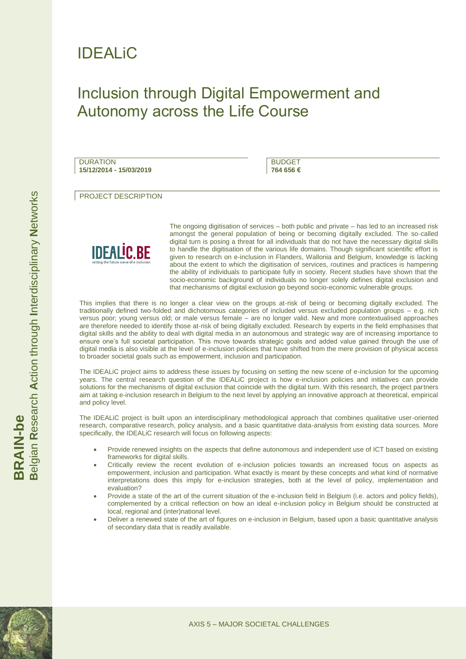

## Inclusion through Digital Empowerment and Autonomy across the Life Course

**DURATION 15/12/2014 - 15/03/2019**

BUDGET **764 656 €**

PROJECT DESCRIPTION



The ongoing digitisation of services – both public and private – has led to an increased risk amongst the general population of being or becoming digitally excluded. The so-called digital turn is posing a threat for all individuals that do not have the necessary digital skills to handle the digitisation of the various life domains. Though significant scientific effort is given to research on e-inclusion in Flanders, Wallonia and Belgium, knowledge is lacking about the extent to which the digitisation of services, routines and practices is hampering the ability of individuals to participate fully in society. Recent studies have shown that the socio-economic background of individuals no longer solely defines digital exclusion and that mechanisms of digital exclusion go beyond socio-economic vulnerable groups.

This implies that there is no longer a clear view on the groups at-risk of being or becoming digitally excluded. The traditionally defined two-folded and dichotomous categories of included versus excluded population groups – e.g. rich versus poor; young versus old; or male versus female – are no longer valid. New and more contextualised approaches are therefore needed to identify those at-risk of being digitally excluded. Research by experts in the field emphasises that digital skills and the ability to deal with digital media in an autonomous and strategic way are of increasing importance to ensure one's full societal participation. This move towards strategic goals and added value gained through the use of digital media is also visible at the level of e-inclusion policies that have shifted from the mere provision of physical access to broader societal goals such as empowerment, inclusion and participation.

The IDEALiC project aims to address these issues by focusing on setting the new scene of e-inclusion for the upcoming years. The central research question of the IDEALiC project is how e-inclusion policies and initiatives can provide solutions for the mechanisms of digital exclusion that coincide with the digital turn. With this research, the project partners aim at taking e-inclusion research in Belgium to the next level by applying an innovative approach at theoretical, empirical and policy level.

The IDEALiC project is built upon an interdisciplinary methodological approach that combines qualitative user-oriented research, comparative research, policy analysis, and a basic quantitative data-analysis from existing data sources. More specifically, the IDEALiC research will focus on following aspects:

- Provide renewed insights on the aspects that define autonomous and independent use of ICT based on existing frameworks for digital skills.
- Critically review the recent evolution of e-inclusion policies towards an increased focus on aspects as empowerment, inclusion and participation. What exactly is meant by these concepts and what kind of normative interpretations does this imply for e-inclusion strategies, both at the level of policy, implementation and evaluation?
- Provide a state of the art of the current situation of the e-inclusion field in Belgium (i.e. actors and policy fields), complemented by a critical reflection on how an ideal e-inclusion policy in Belgium should be constructed at local, regional and (inter)national level.
- Deliver a renewed state of the art of figures on e-inclusion in Belgium, based upon a basic quantitative analysis of secondary data that is readily available.